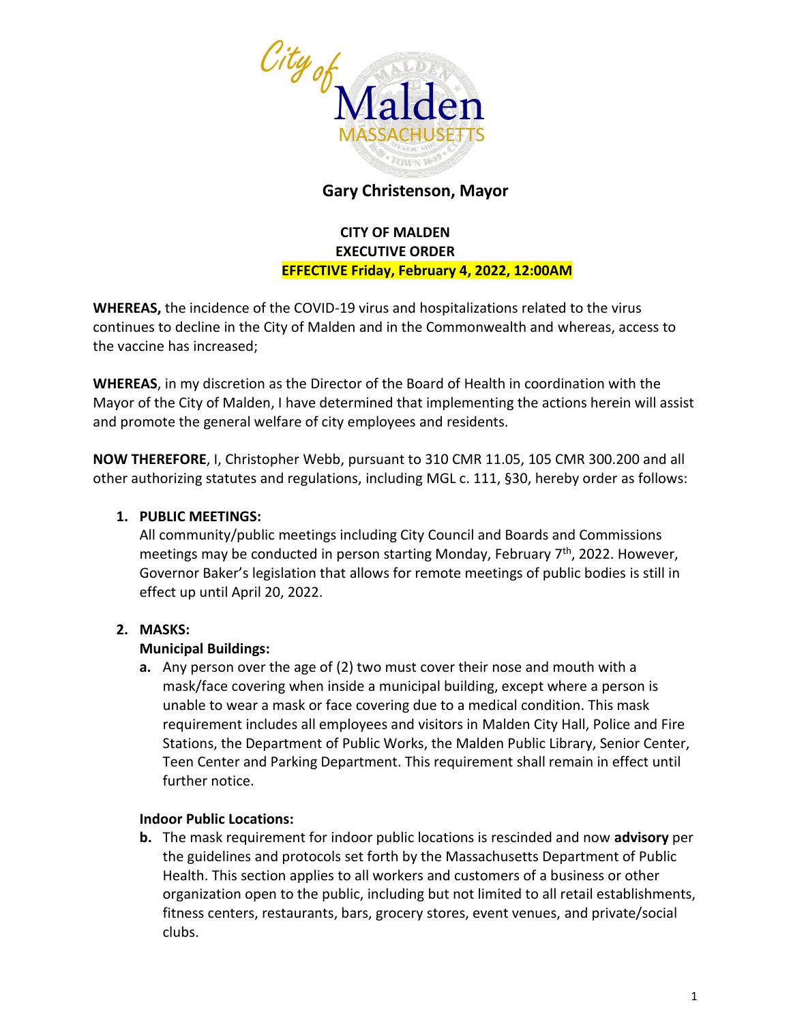

# **Gary Christenson, Mayor**

## **CITY OF MALDEN EXECUTIVE ORDER EFFECTIVE Friday, February 4, 2022, 12:00AM**

**WHEREAS,** the incidence of the COVID-19 virus and hospitalizations related to the virus continues to decline in the City of Malden and in the Commonwealth and whereas, access to the vaccine has increased;

**WHEREAS**, in my discretion as the Director of the Board of Health in coordination with the Mayor of the City of Malden, I have determined that implementing the actions herein will assist and promote the general welfare of city employees and residents.

**NOW THEREFORE**, I, Christopher Webb, pursuant to 310 CMR 11.05, 105 CMR 300.200 and all other authorizing statutes and regulations, including MGL c. 111, §30, hereby order as follows:

### **1. PUBLIC MEETINGS:**

All community/public meetings including City Council and Boards and Commissions meetings may be conducted in person starting Monday, February 7<sup>th</sup>, 2022. However, Governor Baker's legislation that allows for remote meetings of public bodies is still in effect up until April 20, 2022.

### **2. MASKS:**

### **Municipal Buildings:**

**a.** Any person over the age of (2) two must cover their nose and mouth with a mask/face covering when inside a municipal building, except where a person is unable to wear a mask or face covering due to a medical condition. This mask requirement includes all employees and visitors in Malden City Hall, Police and Fire Stations, the Department of Public Works, the Malden Public Library, Senior Center, Teen Center and Parking Department. This requirement shall remain in effect until further notice.

### **Indoor Public Locations:**

**b.** The mask requirement for indoor public locations is rescinded and now **advisory** per the guidelines and protocols set forth by the Massachusetts Department of Public Health. This section applies to all workers and customers of a business or other organization open to the public, including but not limited to all retail establishments, fitness centers, restaurants, bars, grocery stores, event venues, and private/social clubs.